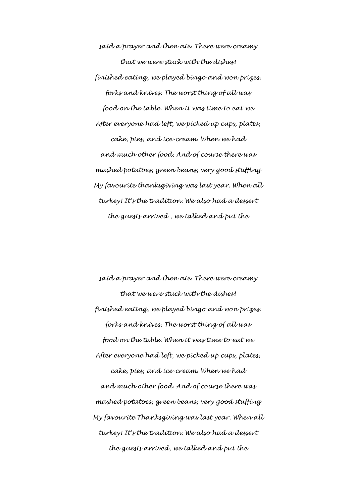*said a prayer and then ate. There were creamy that we were stuck with the dishes! finished eating, we played bingo and won prizes. forks and knives. The worst thing of all was food on the table. When it was time to eat we After everyone had left, we picked up cups, plates, cake, pies, and ice-cream. When we had and much other food. And of course there was mashed potatoes, green beans, very good stuffing My favourite thanksgiving was last year. When all turkey! It's the tradition. We also had a dessert the guests arrived , we talked and put the*

*said a prayer and then ate. There were creamy that we were stuck with the dishes! finished eating, we played bingo and won prizes. forks and knives. The worst thing of all was food on the table. When it was time to eat we After everyone had left, we picked up cups, plates, cake, pies, and ice-cream. When we had and much other food. And of course there was mashed potatoes, green beans, very good stuffing My favourite Thanksgiving was last year. When all turkey! It's the tradition. We also had a dessert the guests arrived, we talked and put the*